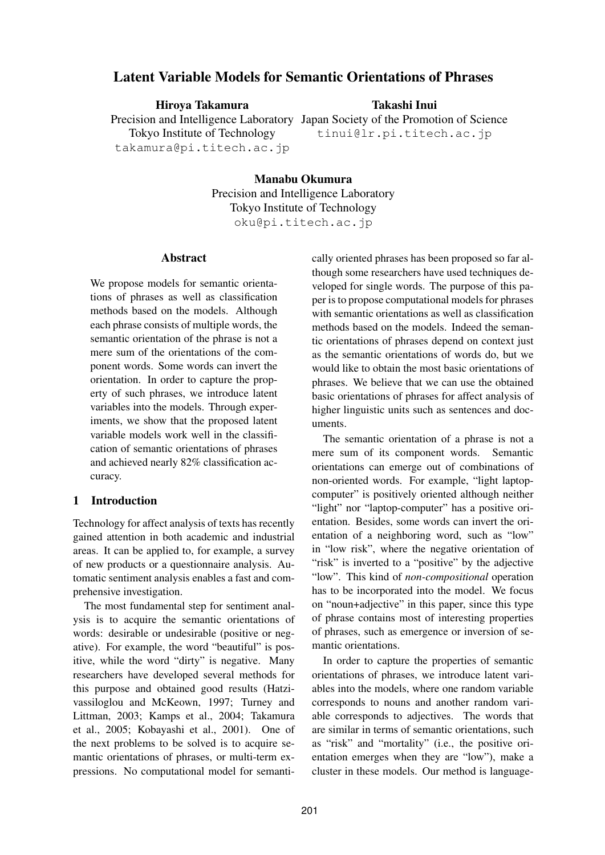# **Latent Variable Models for Semantic Orientations of Phrases**

**Hiroya Takamura**

**Takashi Inui**

Precision and Intelligence Laboratory Japan Society of the Promotion of Science tinui@lr.pi.titech.ac.jp

Tokyo Institute of Technology takamura@pi.titech.ac.jp

> **Manabu Okumura** Precision and Intelligence Laboratory Tokyo Institute of Technology oku@pi.titech.ac.jp

#### **Abstract**

We propose models for semantic orientations of phrases as well as classification methods based on the models. Although each phrase consists of multiple words, the semantic orientation of the phrase is not a mere sum of the orientations of the component words. Some words can invert the orientation. In order to capture the property of such phrases, we introduce latent variables into the models. Through experiments, we show that the proposed latent variable models work well in the classification of semantic orientations of phrases and achieved nearly 82% classification accuracy.

## **1 Introduction**

Technology for affect analysis of texts has recently gained attention in both academic and industrial areas. It can be applied to, for example, a survey of new products or a questionnaire analysis. Automatic sentiment analysis enables a fast and comprehensive investigation.

The most fundamental step for sentiment analysis is to acquire the semantic orientations of words: desirable or undesirable (positive or negative). For example, the word "beautiful" is positive, while the word "dirty" is negative. Many researchers have developed several methods for this purpose and obtained good results (Hatzivassiloglou and McKeown, 1997; Turney and Littman, 2003; Kamps et al., 2004; Takamura et al., 2005; Kobayashi et al., 2001). One of the next problems to be solved is to acquire semantic orientations of phrases, or multi-term expressions. No computational model for semantically oriented phrases has been proposed so far although some researchers have used techniques developed for single words. The purpose of this paper is to propose computational models for phrases with semantic orientations as well as classification methods based on the models. Indeed the semantic orientations of phrases depend on context just as the semantic orientations of words do, but we would like to obtain the most basic orientations of phrases. We believe that we can use the obtained basic orientations of phrases for affect analysis of higher linguistic units such as sentences and documents.

The semantic orientation of a phrase is not a mere sum of its component words. Semantic orientations can emerge out of combinations of non-oriented words. For example, "light laptopcomputer" is positively oriented although neither "light" nor "laptop-computer" has a positive orientation. Besides, some words can invert the orientation of a neighboring word, such as "low" in "low risk", where the negative orientation of "risk" is inverted to a "positive" by the adjective "low". This kind of *non-compositional* operation has to be incorporated into the model. We focus on "noun+adjective" in this paper, since this type of phrase contains most of interesting properties of phrases, such as emergence or inversion of semantic orientations.

In order to capture the properties of semantic orientations of phrases, we introduce latent variables into the models, where one random variable corresponds to nouns and another random variable corresponds to adjectives. The words that are similar in terms of semantic orientations, such as "risk" and "mortality" (i.e., the positive orientation emerges when they are "low"), make a cluster in these models. Our method is language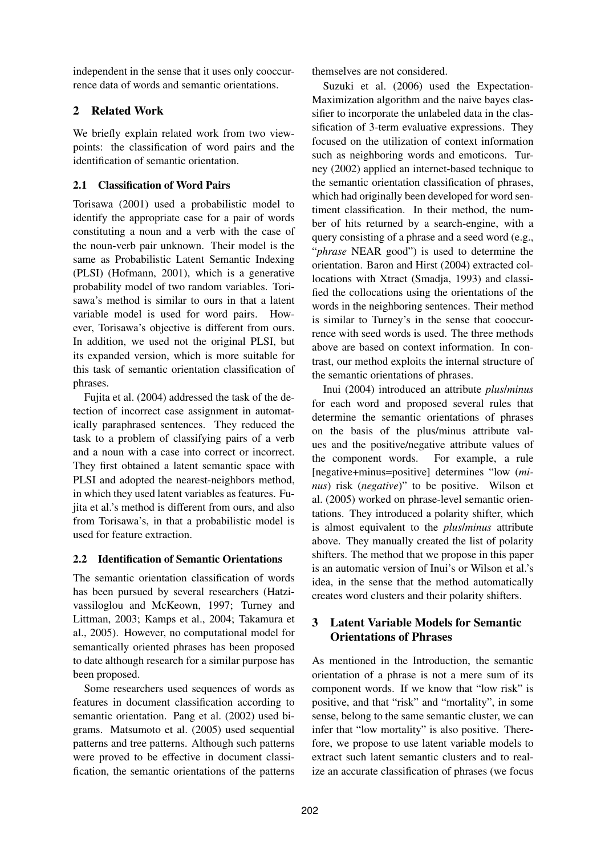independent in the sense that it uses only cooccurrence data of words and semantic orientations.

# **2 Related Work**

We briefly explain related work from two viewpoints: the classification of word pairs and the identification of semantic orientation.

# **2.1 Classification of Word Pairs**

Torisawa (2001) used a probabilistic model to identify the appropriate case for a pair of words constituting a noun and a verb with the case of the noun-verb pair unknown. Their model is the same as Probabilistic Latent Semantic Indexing (PLSI) (Hofmann, 2001), which is a generative probability model of two random variables. Torisawa's method is similar to ours in that a latent variable model is used for word pairs. However, Torisawa's objective is different from ours. In addition, we used not the original PLSI, but its expanded version, which is more suitable for this task of semantic orientation classification of phrases.

Fujita et al. (2004) addressed the task of the detection of incorrect case assignment in automatically paraphrased sentences. They reduced the task to a problem of classifying pairs of a verb and a noun with a case into correct or incorrect. They first obtained a latent semantic space with PLSI and adopted the nearest-neighbors method, in which they used latent variables as features. Fujita et al.'s method is different from ours, and also from Torisawa's, in that a probabilistic model is used for feature extraction.

## **2.2 Identification of Semantic Orientations**

The semantic orientation classification of words has been pursued by several researchers (Hatzivassiloglou and McKeown, 1997; Turney and Littman, 2003; Kamps et al., 2004; Takamura et al., 2005). However, no computational model for semantically oriented phrases has been proposed to date although research for a similar purpose has been proposed.

Some researchers used sequences of words as features in document classification according to semantic orientation. Pang et al. (2002) used bigrams. Matsumoto et al. (2005) used sequential patterns and tree patterns. Although such patterns were proved to be effective in document classification, the semantic orientations of the patterns themselves are not considered.

Suzuki et al. (2006) used the Expectation-Maximization algorithm and the naive bayes classifier to incorporate the unlabeled data in the classification of 3-term evaluative expressions. They focused on the utilization of context information such as neighboring words and emoticons. Turney (2002) applied an internet-based technique to the semantic orientation classification of phrases, which had originally been developed for word sentiment classification. In their method, the number of hits returned by a search-engine, with a query consisting of a phrase and a seed word (e.g., "*phrase* NEAR good") is used to determine the orientation. Baron and Hirst (2004) extracted collocations with Xtract (Smadja, 1993) and classified the collocations using the orientations of the words in the neighboring sentences. Their method is similar to Turney's in the sense that cooccurrence with seed words is used. The three methods above are based on context information. In contrast, our method exploits the internal structure of the semantic orientations of phrases.

Inui (2004) introduced an attribute *plus*/*minus* for each word and proposed several rules that determine the semantic orientations of phrases on the basis of the plus/minus attribute values and the positive/negative attribute values of the component words. For example, a rule [negative+minus=positive] determines "low (*minus*) risk (*negative*)" to be positive. Wilson et al. (2005) worked on phrase-level semantic orientations. They introduced a polarity shifter, which is almost equivalent to the *plus*/*minus* attribute above. They manually created the list of polarity shifters. The method that we propose in this paper is an automatic version of Inui's or Wilson et al.'s idea, in the sense that the method automatically creates word clusters and their polarity shifters.

# **3 Latent Variable Models for Semantic Orientations of Phrases**

As mentioned in the Introduction, the semantic orientation of a phrase is not a mere sum of its component words. If we know that "low risk" is positive, and that "risk" and "mortality", in some sense, belong to the same semantic cluster, we can infer that "low mortality" is also positive. Therefore, we propose to use latent variable models to extract such latent semantic clusters and to realize an accurate classification of phrases (we focus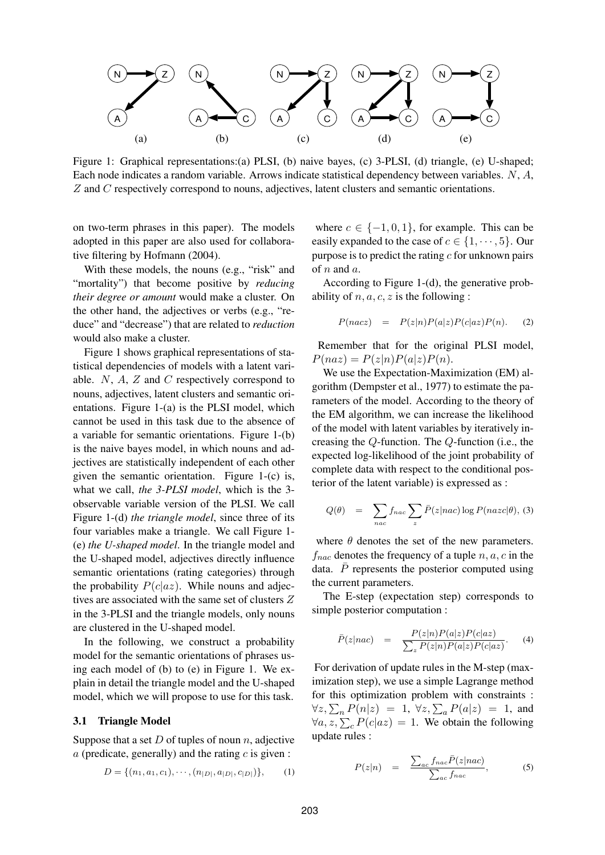

Figure 1: Graphical representations:(a) PLSI, (b) naive bayes, (c) 3-PLSI, (d) triangle, (e) U-shaped; Each node indicates a random variable. Arrows indicate statistical dependency between variables. N, A, Z and C respectively correspond to nouns, adjectives, latent clusters and semantic orientations.

on two-term phrases in this paper). The models adopted in this paper are also used for collaborative filtering by Hofmann (2004).

With these models, the nouns (e.g., "risk" and "mortality") that become positive by *reducing their degree or amount* would make a cluster. On the other hand, the adjectives or verbs (e.g., "reduce" and "decrease") that are related to *reduction* would also make a cluster.

Figure 1 shows graphical representations of statistical dependencies of models with a latent variable.  $N$ ,  $A$ ,  $Z$  and  $C$  respectively correspond to nouns, adjectives, latent clusters and semantic orientations. Figure 1-(a) is the PLSI model, which cannot be used in this task due to the absence of a variable for semantic orientations. Figure 1-(b) is the naive bayes model, in which nouns and adjectives are statistically independent of each other given the semantic orientation. Figure 1-(c) is, what we call, *the 3-PLSI model*, which is the 3 observable variable version of the PLSI. We call Figure 1-(d) *the triangle model*, since three of its four variables make a triangle. We call Figure 1- (e) *the U-shaped model*. In the triangle model and the U-shaped model, adjectives directly influence semantic orientations (rating categories) through the probability  $P(c|az)$ . While nouns and adjectives are associated with the same set of clusters Z in the 3-PLSI and the triangle models, only nouns are clustered in the U-shaped model.

In the following, we construct a probability model for the semantic orientations of phrases using each model of (b) to (e) in Figure 1. We explain in detail the triangle model and the U-shaped model, which we will propose to use for this task.

#### **3.1 Triangle Model**

Suppose that a set  $D$  of tuples of noun n, adjective  $a$  (predicate, generally) and the rating  $c$  is given :

$$
D = \{(n_1, a_1, c_1), \cdots, (n_{|D|}, a_{|D|}, c_{|D|})\},\qquad(1)
$$

where  $c \in \{-1, 0, 1\}$ , for example. This can be easily expanded to the case of  $c \in \{1, \dots, 5\}$ . Our purpose is to predict the rating  $c$  for unknown pairs of  $n$  and  $a$ .

According to Figure 1-(d), the generative probability of  $n, a, c, z$  is the following :

$$
P(nacz) = P(z|n)P(a|z)P(c|az)P(n). \quad (2)
$$

Remember that for the original PLSI model,  $P(naz) = P(z|n)P(a|z)P(n).$ 

We use the Expectation-Maximization (EM) algorithm (Dempster et al., 1977) to estimate the parameters of the model. According to the theory of the EM algorithm, we can increase the likelihood of the model with latent variables by iteratively increasing the Q-function. The Q-function (i.e., the expected log-likelihood of the joint probability of complete data with respect to the conditional posterior of the latent variable) is expressed as :

$$
Q(\theta) = \sum_{nac} f_{nac} \sum_{z} \bar{P}(z|nac) \log P(nacc|\theta), \text{ (3)}
$$

where  $\theta$  denotes the set of the new parameters.  $f_{nac}$  denotes the frequency of a tuple  $n, a, c$  in the data.  $\overline{P}$  represents the posterior computed using the current parameters.

The E-step (expectation step) corresponds to simple posterior computation :

$$
\bar{P}(z|nac) = \frac{P(z|n)P(a|z)P(c|az)}{\sum_{z} P(z|n)P(a|z)P(c|az)}.
$$
 (4)

For derivation of update rules in the M-step (maximization step), we use a simple Lagrange method for this optimization problem with constraints :  $\forall z, \sum_n P(n|z) = 1, \ \forall z, \sum_a P(a|z) = 1, \text{ and}$  $\forall a, z, \sum_{c} P(c|az) = 1$ . We obtain the following update rules :

$$
P(z|n) = \frac{\sum_{ac} f_{nac} \bar{P}(z|nac)}{\sum_{ac} f_{nac}}, \qquad (5)
$$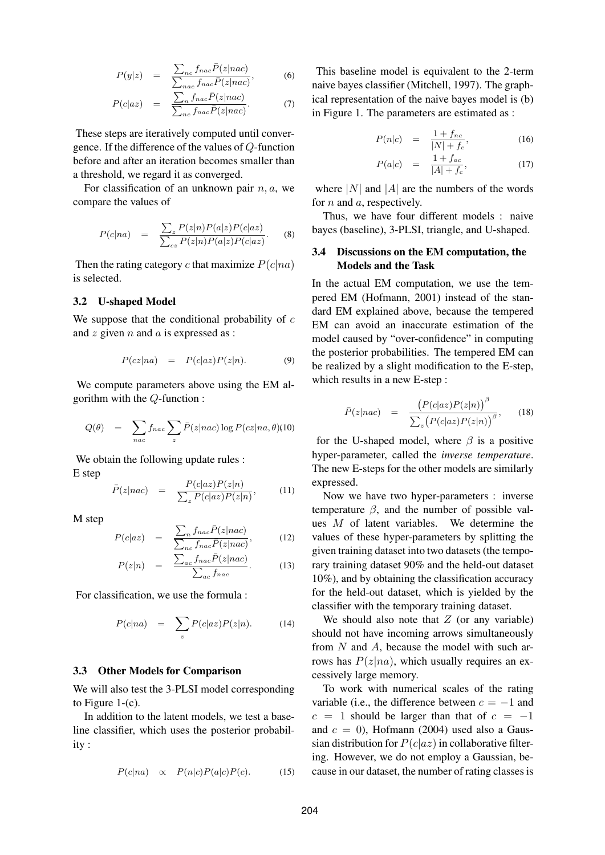$$
P(y|z) = \frac{\sum_{nc} f_{nac} \bar{P}(z|nac)}{\sum_{nac} f_{nac} \bar{P}(z|nac)},
$$
 (6)

$$
P(c|az) = \frac{\sum_{n} f_{nac} \bar{P}(z|nac)}{\sum_{n_c} f_{nac} \bar{P}(z|nac)}.
$$
 (7)

These steps are iteratively computed until convergence. If the difference of the values of Q-function before and after an iteration becomes smaller than a threshold, we regard it as converged.

For classification of an unknown pair  $n, a$ , we compare the values of

$$
P(c|na) = \frac{\sum_{z} P(z|n)P(a|z)P(c|az)}{\sum_{cz} P(z|n)P(a|z)P(c|az)}.
$$
 (8)

Then the rating category c that maximize  $P(c|na)$ is selected.

#### **3.2 U-shaped Model**

We suppose that the conditional probability of  $c$ and z given  $n$  and  $a$  is expressed as :

$$
P(cz|na) = P(c|az)P(z|n).
$$
 (9)

We compute parameters above using the EM algorithm with the Q-function :

$$
Q(\theta) = \sum_{nac} f_{nac} \sum_{z} \bar{P}(z|nac) \log P(cz|na, \theta)
$$
(10)

We obtain the following update rules :

E step

$$
\bar{P}(z|nac) = \frac{P(c|az)P(z|n)}{\sum_{z} P(c|az)P(z|n)},
$$
\n(11)

M step

$$
P(c|az) = \frac{\sum_{n} f_{nac} \bar{P}(z|nac)}{\sum_{nc} f_{nac} \bar{P}(z|nac)},
$$
 (12)

$$
P(z|n) = \frac{\sum_{ac} f_{nac} \bar{P}(z|nac)}{\sum_{ac} f_{nac}}.
$$
 (13)

For classification, we use the formula :

$$
P(c|na) = \sum_{z} P(c|az)P(z|n). \tag{14}
$$

#### **3.3 Other Models for Comparison**

We will also test the 3-PLSI model corresponding to Figure 1-(c).

In addition to the latent models, we test a baseline classifier, which uses the posterior probability :

$$
P(c|na) \propto P(n|c)P(a|c)P(c).
$$
 (15)

This baseline model is equivalent to the 2-term naive bayes classifier (Mitchell, 1997). The graphical representation of the naive bayes model is (b) in Figure 1. The parameters are estimated as :

$$
P(n|c) = \frac{1 + f_{nc}}{|N| + f_c}, \tag{16}
$$

$$
P(a|c) = \frac{1 + f_{ac}}{|A| + f_c}, \tag{17}
$$

where  $|N|$  and  $|A|$  are the numbers of the words for  $n$  and  $a$ , respectively.

Thus, we have four different models : naive bayes (baseline), 3-PLSI, triangle, and U-shaped.

### **3.4 Discussions on the EM computation, the Models and the Task**

In the actual EM computation, we use the tempered EM (Hofmann, 2001) instead of the standard EM explained above, because the tempered EM can avoid an inaccurate estimation of the model caused by "over-confidence" in computing the posterior probabilities. The tempered EM can be realized by a slight modification to the E-step, which results in a new E-step :

$$
\bar{P}(z|nac) = \frac{\left(P(c|az)P(z|n)\right)^{\beta}}{\sum_{z}\left(P(c|az)P(z|n)\right)^{\beta}}, \quad (18)
$$

for the U-shaped model, where  $\beta$  is a positive hyper-parameter, called the *inverse temperature*. The new E-steps for the other models are similarly expressed.

Now we have two hyper-parameters : inverse temperature  $\beta$ , and the number of possible values  $M$  of latent variables. We determine the values of these hyper-parameters by splitting the given training dataset into two datasets (the temporary training dataset 90% and the held-out dataset 10%), and by obtaining the classification accuracy for the held-out dataset, which is yielded by the classifier with the temporary training dataset.

We should also note that  $Z$  (or any variable) should not have incoming arrows simultaneously from  $N$  and  $A$ , because the model with such arrows has  $P(z|na)$ , which usually requires an excessively large memory.

To work with numerical scales of the rating variable (i.e., the difference between  $c = -1$  and  $c = 1$  should be larger than that of  $c = -1$ and  $c = 0$ ), Hofmann (2004) used also a Gaussian distribution for  $P(c|az)$  in collaborative filtering. However, we do not employ a Gaussian, because in our dataset, the number of rating classes is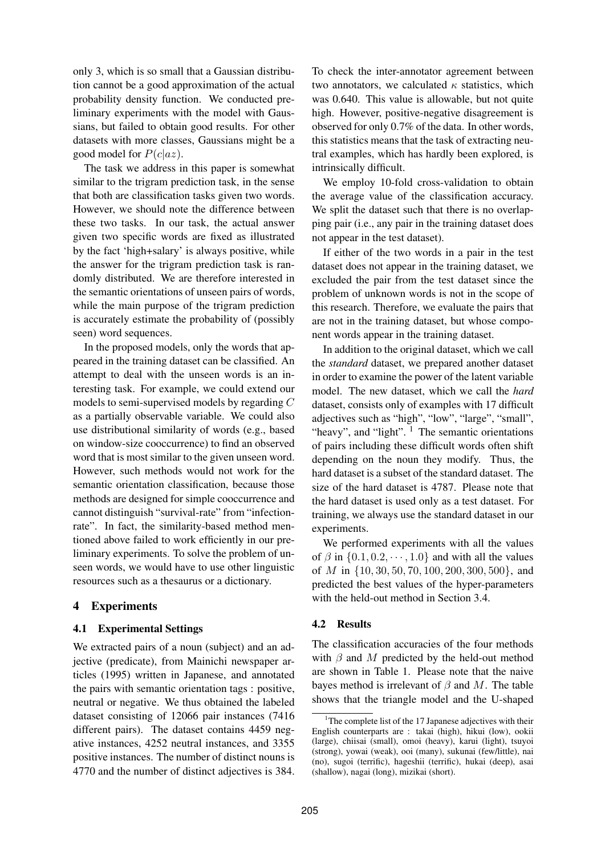only 3, which is so small that a Gaussian distribution cannot be a good approximation of the actual probability density function. We conducted preliminary experiments with the model with Gaussians, but failed to obtain good results. For other datasets with more classes, Gaussians might be a good model for  $P(c|az)$ .

The task we address in this paper is somewhat similar to the trigram prediction task, in the sense that both are classification tasks given two words. However, we should note the difference between these two tasks. In our task, the actual answer given two specific words are fixed as illustrated by the fact 'high+salary' is always positive, while the answer for the trigram prediction task is randomly distributed. We are therefore interested in the semantic orientations of unseen pairs of words, while the main purpose of the trigram prediction is accurately estimate the probability of (possibly seen) word sequences.

In the proposed models, only the words that appeared in the training dataset can be classified. An attempt to deal with the unseen words is an interesting task. For example, we could extend our models to semi-supervised models by regarding C as a partially observable variable. We could also use distributional similarity of words (e.g., based on window-size cooccurrence) to find an observed word that is most similar to the given unseen word. However, such methods would not work for the semantic orientation classification, because those methods are designed for simple cooccurrence and cannot distinguish "survival-rate" from "infectionrate". In fact, the similarity-based method mentioned above failed to work efficiently in our preliminary experiments. To solve the problem of unseen words, we would have to use other linguistic resources such as a thesaurus or a dictionary.

## **4 Experiments**

## **4.1 Experimental Settings**

We extracted pairs of a noun (subject) and an adjective (predicate), from Mainichi newspaper articles (1995) written in Japanese, and annotated the pairs with semantic orientation tags : positive, neutral or negative. We thus obtained the labeled dataset consisting of 12066 pair instances (7416 different pairs). The dataset contains 4459 negative instances, 4252 neutral instances, and 3355 positive instances. The number of distinct nouns is 4770 and the number of distinct adjectives is 384.

To check the inter-annotator agreement between two annotators, we calculated  $\kappa$  statistics, which was 0.640. This value is allowable, but not quite high. However, positive-negative disagreement is observed for only 0.7% of the data. In other words, this statistics means that the task of extracting neutral examples, which has hardly been explored, is intrinsically difficult.

We employ 10-fold cross-validation to obtain the average value of the classification accuracy. We split the dataset such that there is no overlapping pair (i.e., any pair in the training dataset does not appear in the test dataset).

If either of the two words in a pair in the test dataset does not appear in the training dataset, we excluded the pair from the test dataset since the problem of unknown words is not in the scope of this research. Therefore, we evaluate the pairs that are not in the training dataset, but whose component words appear in the training dataset.

In addition to the original dataset, which we call the *standard* dataset, we prepared another dataset in order to examine the power of the latent variable model. The new dataset, which we call the *hard* dataset, consists only of examples with 17 difficult adjectives such as "high", "low", "large", "small", "heavy", and "light".  $\frac{1}{1}$  The semantic orientations of pairs including these difficult words often shift depending on the noun they modify. Thus, the hard dataset is a subset of the standard dataset. The size of the hard dataset is 4787. Please note that the hard dataset is used only as a test dataset. For training, we always use the standard dataset in our experiments.

We performed experiments with all the values of  $\beta$  in  $\{0.1, 0.2, \dots, 1.0\}$  and with all the values of M in  $\{10, 30, 50, 70, 100, 200, 300, 500\}$ , and predicted the best values of the hyper-parameters with the held-out method in Section 3.4.

## **4.2 Results**

The classification accuracies of the four methods with  $\beta$  and M predicted by the held-out method are shown in Table 1. Please note that the naive bayes method is irrelevant of  $\beta$  and M. The table shows that the triangle model and the U-shaped

<sup>&</sup>lt;sup>1</sup>The complete list of the 17 Japanese adjectives with their English counterparts are : takai (high), hikui (low), ookii (large), chiisai (small), omoi (heavy), karui (light), tsuyoi (strong), yowai (weak), ooi (many), sukunai (few/little), nai (no), sugoi (terrific), hageshii (terrific), hukai (deep), asai (shallow), nagai (long), mizikai (short).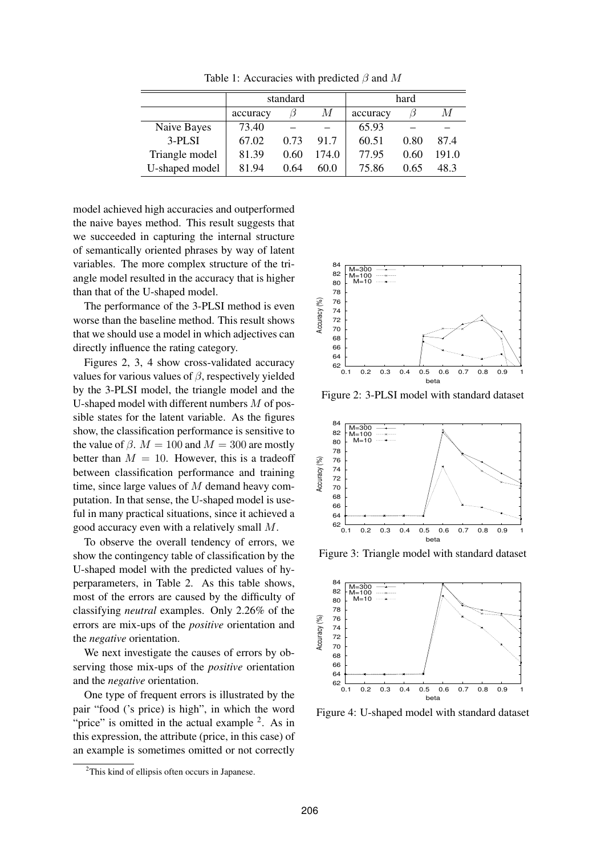|                | standard |      |       | hard     |      |       |
|----------------|----------|------|-------|----------|------|-------|
|                | accuracy |      | М     | accuracy |      | M     |
| Naive Bayes    | 73.40    |      |       | 65.93    |      |       |
| $3-PLSI$       | 67.02    | 0.73 | 917   | 60.51    | 0.80 | 874   |
| Triangle model | 81.39    | 0.60 | 174.0 | 77.95    | 0.60 | 191.0 |
| U-shaped model | 81.94    | 0.64 | 60.0  | 75.86    | 0.65 | 483   |

Table 1: Accuracies with predicted  $\beta$  and M

model achieved high accuracies and outperformed the naive bayes method. This result suggests that we succeeded in capturing the internal structure of semantically oriented phrases by way of latent variables. The more complex structure of the triangle model resulted in the accuracy that is higher than that of the U-shaped model.

The performance of the 3-PLSI method is even worse than the baseline method. This result shows that we should use a model in which adjectives can directly influence the rating category.

Figures 2, 3, 4 show cross-validated accuracy values for various values of  $\beta$ , respectively yielded by the 3-PLSI model, the triangle model and the U-shaped model with different numbers  $M$  of possible states for the latent variable. As the figures show, the classification performance is sensitive to the value of  $\beta$ .  $M = 100$  and  $M = 300$  are mostly better than  $M = 10$ . However, this is a tradeoff between classification performance and training time, since large values of M demand heavy computation. In that sense, the U-shaped model is useful in many practical situations, since it achieved a good accuracy even with a relatively small M.

To observe the overall tendency of errors, we show the contingency table of classification by the U-shaped model with the predicted values of hyperparameters, in Table 2. As this table shows, most of the errors are caused by the difficulty of classifying *neutral* examples. Only 2.26% of the errors are mix-ups of the *positive* orientation and the *negative* orientation.

We next investigate the causes of errors by observing those mix-ups of the *positive* orientation and the *negative* orientation.

One type of frequent errors is illustrated by the pair "food ('s price) is high", in which the word "price" is omitted in the actual example  $2$ . As in this expression, the attribute (price, in this case) of an example is sometimes omitted or not correctly



Figure 2: 3-PLSI model with standard dataset



Figure 3: Triangle model with standard dataset



Figure 4: U-shaped model with standard dataset

<sup>&</sup>lt;sup>2</sup>This kind of ellipsis often occurs in Japanese.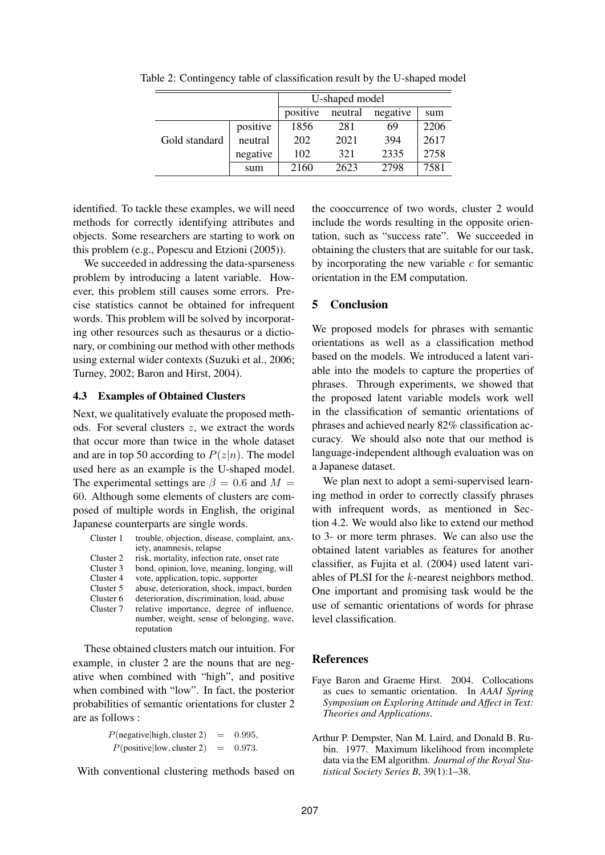|               |          | U-shaped model |         |          |      |  |
|---------------|----------|----------------|---------|----------|------|--|
|               |          | positive       | neutral | negative | sum  |  |
| Gold standard | positive | 1856           | 281     | 69       | 2206 |  |
|               | neutral  | 202            | 2021    | 394      | 2617 |  |
|               | negative | 102            | 321     | 2335     | 2758 |  |
|               | sum      | 2160           | 2623    | 2798     | 7581 |  |

Table 2: Contingency table of classification result by the U-shaped model

identified. To tackle these examples, we will need methods for correctly identifying attributes and objects. Some researchers are starting to work on this problem (e.g., Popescu and Etzioni (2005)).

We succeeded in addressing the data-sparseness problem by introducing a latent variable. However, this problem still causes some errors. Precise statistics cannot be obtained for infrequent words. This problem will be solved by incorporating other resources such as thesaurus or a dictionary, or combining our method with other methods using external wider contexts (Suzuki et al., 2006; Turney, 2002; Baron and Hirst, 2004).

### **4.3 Examples of Obtained Clusters**

Next, we qualitatively evaluate the proposed methods. For several clusters  $z$ , we extract the words that occur more than twice in the whole dataset and are in top 50 according to  $P(z|n)$ . The model used here as an example is the U-shaped model. The experimental settings are  $\beta = 0.6$  and  $M =$ 60. Although some elements of clusters are composed of multiple words in English, the original Japanese counterparts are single words.

| Cluster 1 | trouble, objection, disease, complaint, anx-                                           |
|-----------|----------------------------------------------------------------------------------------|
|           | iety, anamnesis, relapse                                                               |
| Cluster 2 | risk, mortality, infection rate, onset rate                                            |
| Cluster 3 | bond, opinion, love, meaning, longing, will                                            |
| Cluster 4 | vote, application, topic, supporter                                                    |
| Cluster 5 | abuse, deterioration, shock, impact, burden                                            |
| Cluster 6 | deterioration, discrimination, load, abuse                                             |
| Cluster 7 | relative importance, degree of influence,<br>number, weight, sense of belonging, wave, |
|           | reputation                                                                             |

These obtained clusters match our intuition. For example, in cluster 2 are the nouns that are negative when combined with "high", and positive when combined with "low". In fact, the posterior probabilities of semantic orientations for cluster 2 are as follows :

> $P(\text{negative}|\text{high}, \text{cluster 2}) = 0.995,$  $P(\text{positive}|low, cluster 2) = 0.973.$

With conventional clustering methods based on

the cooccurrence of two words, cluster 2 would include the words resulting in the opposite orientation, such as "success rate". We succeeded in obtaining the clusters that are suitable for our task, by incorporating the new variable  $c$  for semantic orientation in the EM computation.

# **5 Conclusion**

We proposed models for phrases with semantic orientations as well as a classification method based on the models. We introduced a latent variable into the models to capture the properties of phrases. Through experiments, we showed that the proposed latent variable models work well in the classification of semantic orientations of phrases and achieved nearly 82% classification accuracy. We should also note that our method is language-independent although evaluation was on a Japanese dataset.

We plan next to adopt a semi-supervised learning method in order to correctly classify phrases with infrequent words, as mentioned in Section 4.2. We would also like to extend our method to 3- or more term phrases. We can also use the obtained latent variables as features for another classifier, as Fujita et al. (2004) used latent variables of PLSI for the k-nearest neighbors method. One important and promising task would be the use of semantic orientations of words for phrase level classification.

## **References**

- Faye Baron and Graeme Hirst. 2004. Collocations as cues to semantic orientation. In *AAAI Spring Symposium on Exploring Attitude and Affect in Text: Theories and Applications*.
- Arthur P. Dempster, Nan M. Laird, and Donald B. Rubin. 1977. Maximum likelihood from incomplete data via the EM algorithm. *Journal of the Royal Statistical Society Series B*, 39(1):1–38.